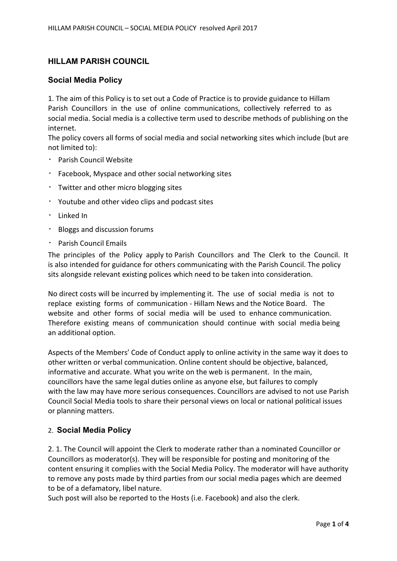# HILLAM PARISH COUNCIL

# Social Media Policy

1. The aim of this Policy is to set out a Code of Practice is to provide guidance to Hillam Parish Councillors in the use of online communications, collectively referred to as social media. Social media is a collective term used to describe methods of publishing on the internet.

The policy covers all forms of social media and social networking sites which include (but are not limited to):

- Parish Council Website
- Facebook, Myspace and other social networking sites
- Twitter and other micro blogging sites
- Youtube and other video clips and podcast sites
- $\cdot$  Linked In
- Bloggs and discussion forums
- Parish Council Emails

The principles of the Policy apply to Parish Councillors and The Clerk to the Council. It is also intended for guidance for others communicating with the Parish Council. The policy sits alongside relevant existing polices which need to be taken into consideration.

No direct costs will be incurred by implementing it. The use of social media is not to replace existing forms of communication - Hillam News and the Notice Board. The website and other forms of social media will be used to enhance communication. Therefore existing means of communication should continue with social media being an additional option.

Aspects of the Members' Code of Conduct apply to online activity in the same way it does to other written or verbal communication. Online content should be objective, balanced, informative and accurate. What you write on the web is permanent. In the main, councillors have the same legal duties online as anyone else, but failures to comply with the law may have more serious consequences. Councillors are advised to not use Parish Council Social Media tools to share their personal views on local or national political issues or planning matters.

### 2. Social Media Policy

2. 1. The Council will appoint the Clerk to moderate rather than a nominated Councillor or Councillors as moderator(s). They will be responsible for posting and monitoring of the content ensuring it complies with the Social Media Policy. The moderator will have authority to remove any posts made by third parties from our social media pages which are deemed to be of a defamatory, libel nature.

Such post will also be reported to the Hosts (i.e. Facebook) and also the clerk.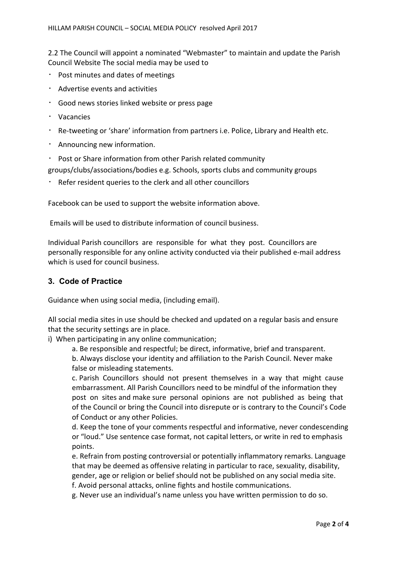2.2 The Council will appoint a nominated "Webmaster" to maintain and update the Parish Council Website The social media may be used to

- Post minutes and dates of meetings
- Advertise events and activities
- Good news stories linked website or press page
- Vacancies
- Re-tweeting or 'share' information from partners i.e. Police, Library and Health etc.
- Announcing new information.
- Post or Share information from other Parish related community

groups/clubs/associations/bodies e.g. Schools, sports clubs and community groups

Refer resident queries to the clerk and all other councillors

Facebook can be used to support the website information above.

Emails will be used to distribute information of council business.

Individual Parish councillors are responsible for what they post. Councillors are personally responsible for any online activity conducted via their published e-mail address which is used for council business.

# 3. Code of Practice

Guidance when using social media, (including email).

All social media sites in use should be checked and updated on a regular basis and ensure that the security settings are in place.

i) When participating in any online communication;

a. Be responsible and respectful; be direct, informative, brief and transparent.

b. Always disclose your identity and affiliation to the Parish Council. Never make false or misleading statements.

c. Parish Councillors should not present themselves in a way that might cause embarrassment. All Parish Councillors need to be mindful of the information they post on sites and make sure personal opinions are not published as being that of the Council or bring the Council into disrepute or is contrary to the Council's Code of Conduct or any other Policies.

d. Keep the tone of your comments respectful and informative, never condescending or "loud." Use sentence case format, not capital letters, or write in red to emphasis points.

e. Refrain from posting controversial or potentially inflammatory remarks. Language that may be deemed as offensive relating in particular to race, sexuality, disability, gender, age or religion or belief should not be published on any social media site.

f. Avoid personal attacks, online fights and hostile communications.

g. Never use an individual's name unless you have written permission to do so.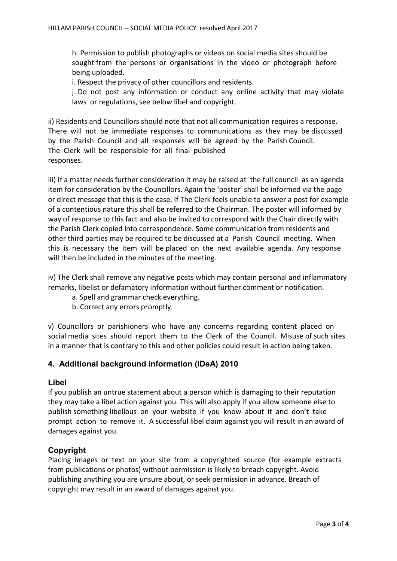h. Permission to publish photographs or videos on social media sites should be sought from the persons or organisations in the video or photograph before being uploaded.

i. Respect the privacy of other councillors and residents.

j. Do not post any information or conduct any online activity that may violate laws or regulations, see below libel and copyright.

ii) Residents and Councillors should note that not all communication requires a response. There will not be immediate responses to communications as they may be discussed by the Parish Council and all responses will be agreed by the Parish Council. The Clerk will be responsible for all final published responses.

iii) If a matter needs further consideration it may be raised at the full council as an agenda item for consideration by the Councillors. Again the 'poster' shall be informed via the page or direct message that this is the case. If The Clerk feels unable to answer a post for example of a contentious nature this shall be referred to the Chairman. The poster will informed by way of response to this fact and also be invited to correspond with the Chair directly with the Parish Clerk copied into correspondence. Some communication from residents and other third parties may be required to be discussed at a Parish Council meeting. When this is necessary the item will be placed on the next available agenda. Any response will then be included in the minutes of the meeting.

iv) The Clerk shall remove any negative posts which may contain personal and inflammatory remarks, libelist or defamatory information without further comment or notification.

- a. Spell and grammar check everything.
- b. Correct any errors promptly.

v) Councillors or parishioners who have any concerns regarding content placed on social media sites should report them to the Clerk of the Council. Misuse of such sites in a manner that is contrary to this and other policies could result in action being taken.

# 4. Additional background information (IDeA) 2010

### Libel

If you publish an untrue statement about a person which is damaging to their reputation they may take a libel action against you. This will also apply if you allow someone else to publish something libellous on your website if you know about it and don't take prompt action to remove it. A successful libel claim against you will result in an award of damages against you.

# Copyright

Placing images or text on your site from a copyrighted source (for example extracts from publications or photos) without permission is likely to breach copyright. Avoid publishing anything you are unsure about, or seek permission in advance. Breach of copyright may result in an award of damages against you.